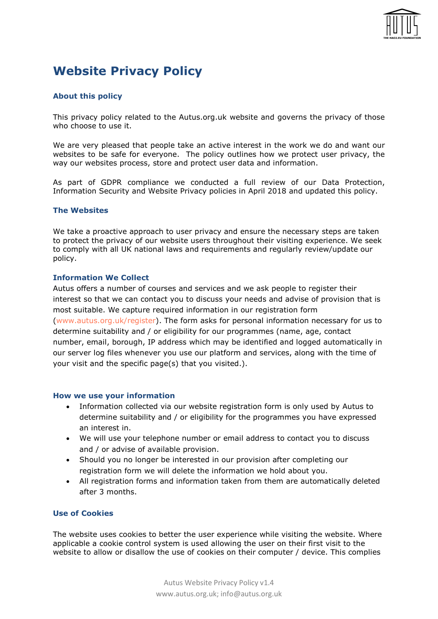

# Website Privacy Policy

# About this policy

This privacy policy related to the Autus.org.uk website and governs the privacy of those who choose to use it.

We are very pleased that people take an active interest in the work we do and want our websites to be safe for everyone. The policy outlines how we protect user privacy, the way our websites process, store and protect user data and information.

As part of GDPR compliance we conducted a full review of our Data Protection, Information Security and Website Privacy policies in April 2018 and updated this policy.

## The Websites

We take a proactive approach to user privacy and ensure the necessary steps are taken to protect the privacy of our website users throughout their visiting experience. We seek to comply with all UK national laws and requirements and regularly review/update our policy.

## Information We Collect

Autus offers a number of courses and services and we ask people to register their interest so that we can contact you to discuss your needs and advise of provision that is most suitable. We capture required information in our registration form (www.autus.org.uk/register). The form asks for personal information necessary for us to determine suitability and / or eligibility for our programmes (name, age, contact number, email, borough, IP address which may be identified and logged automatically in our server log files whenever you use our platform and services, along with the time of your visit and the specific page(s) that you visited.).

#### How we use your information

- Information collected via our website registration form is only used by Autus to determine suitability and / or eligibility for the programmes you have expressed an interest in.
- We will use your telephone number or email address to contact you to discuss and / or advise of available provision.
- Should you no longer be interested in our provision after completing our registration form we will delete the information we hold about you.
- All registration forms and information taken from them are automatically deleted after 3 months.

## Use of Cookies

The website uses cookies to better the user experience while visiting the website. Where applicable a cookie control system is used allowing the user on their first visit to the website to allow or disallow the use of cookies on their computer / device. This complies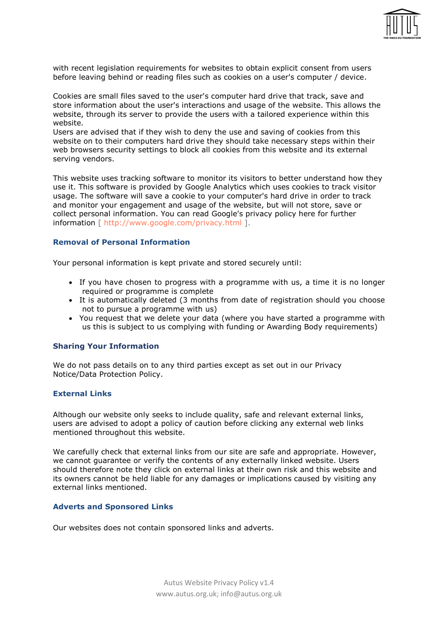

with recent legislation requirements for websites to obtain explicit consent from users before leaving behind or reading files such as cookies on a user's computer / device.

Cookies are small files saved to the user's computer hard drive that track, save and store information about the user's interactions and usage of the website. This allows the website, through its server to provide the users with a tailored experience within this website.

Users are advised that if they wish to deny the use and saving of cookies from this website on to their computers hard drive they should take necessary steps within their web browsers security settings to block all cookies from this website and its external serving vendors.

This website uses tracking software to monitor its visitors to better understand how they use it. This software is provided by Google Analytics which uses cookies to track visitor usage. The software will save a cookie to your computer's hard drive in order to track and monitor your engagement and usage of the website, but will not store, save or collect personal information. You can read Google's privacy policy here for further information [ http://www.google.com/privacy.html ].

#### Removal of Personal Information

Your personal information is kept private and stored securely until:

- If you have chosen to progress with a programme with us, a time it is no longer required or programme is complete
- It is automatically deleted (3 months from date of registration should you choose not to pursue a programme with us)
- You request that we delete your data (where you have started a programme with us this is subject to us complying with funding or Awarding Body requirements)

## Sharing Your Information

We do not pass details on to any third parties except as set out in our Privacy Notice/Data Protection Policy.

## External Links

Although our website only seeks to include quality, safe and relevant external links, users are advised to adopt a policy of caution before clicking any external web links mentioned throughout this website.

We carefully check that external links from our site are safe and appropriate. However, we cannot guarantee or verify the contents of any externally linked website. Users should therefore note they click on external links at their own risk and this website and its owners cannot be held liable for any damages or implications caused by visiting any external links mentioned.

#### Adverts and Sponsored Links

Our websites does not contain sponsored links and adverts.